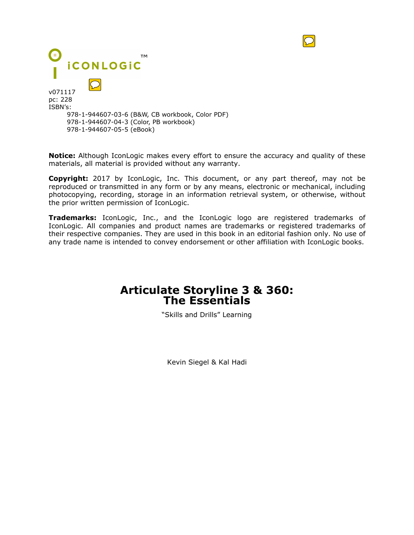

**Notice:** Although IconLogic makes every effort to ensure the accuracy and quality of these materials, all material is provided without any warranty.

**Copyright:** 2017 by IconLogic, Inc. This document, or any part thereof, may not be reproduced or transmitted in any form or by any means, electronic or mechanical, including photocopying, recording, storage in an information retrieval system, or otherwise, without the prior written permission of IconLogic.

**Trademarks:** IconLogic, Inc., and the IconLogic logo are registered trademarks of IconLogic. All companies and product names are trademarks or registered trademarks of their respective companies. They are used in this book in an editorial fashion only. No use of any trade name is intended to convey endorsement or other affiliation with IconLogic books.

# **Articulate Storyline 3 & 360: The Essentials**

"Skills and Drills" Learning

Kevin Siegel & Kal Hadi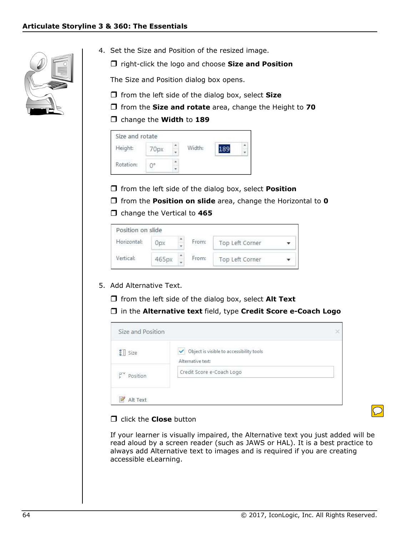

- 4. Set the Size and Position of the resized image.
	- $\Box$  right-click the logo and choose Size and Position

The Size and Position dialog box opens.

- $\Box$  from the left side of the dialog box, select Size
- $\Box$  from the Size and rotate area, change the Height to 70

#### $\Box$  change the Width to 189

| Size and rotate | 10 C F |        |  |
|-----------------|--------|--------|--|
| Height:         |        | Width: |  |
|                 |        |        |  |
| Rotation:       |        |        |  |

- $\Box$  from the left side of the dialog box, select **Position**
- $\Box$  from the **Position on slide** area, change the Horizontal to **0**
- $\Box$  change the Vertical to 465

| Position on slide |       |   |       |                 |  |
|-------------------|-------|---|-------|-----------------|--|
| Horizontal:       |       | ÷ | From: | Top Left Corner |  |
| Vertical:         | 465рх | ۰ | From: | Top Left Corner |  |

#### 5. Add Alternative Text.

 $\Box$  from the left side of the dialog box, select Alt Text

□ in the Alternative text field, type Credit Score e-Coach Logo



#### $\Box$  click the **Close** button

If your learner is visually impaired, the Alternative text you just added will be read aloud by a screen reader (such as JAWS or HAL). It is a best practice to always add Alternative text to images and is required if you are creating accessible eLearning.